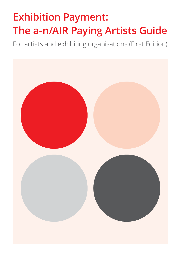# **Exhibition Payment: The a-n/AIR Paying Artists Guide**

For artists and exhibiting organisations (First Edition)

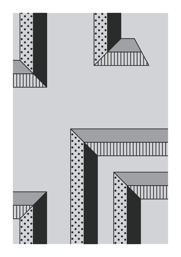





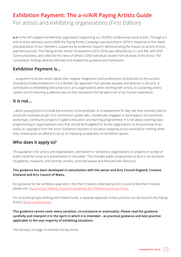# **Exhibition Payment: The a-n/AIR Paying Artists Guide** For artists and exhibiting organisations (First Edition)

**a-n** is the UK's largest membership organisation supporting our 20,000+ professional visual artists. Through a-n and its artist advisory council (AIR) the Paying Artists Campaign was launched in 2014 in response to the needs and aspirations of our members, supported by evidential research demonstrating the impact on artists of poor payment practice. The Paying Artists Sector Consultation (2014-2016) was delivered by a-n and AIR, with DHA Communications, and collected the views of almost 2,000 individuals drawn from all areas of the sector. The consultation findings directly informed and shaped this guidance and framework.

### **Exhibition Payment is…**

… a payment to artists which values their singular imagination and professional contribution to the success of publicly-funded exhibitions. It is a flexible, fair approach that upholds equality and diversity in the arts. It contributes to embedding best practice in arts organisations when working with artists, to sustaining artists' careers and to ensuring audiences see art that represents the full spectrum of our human experience.

### **It is not…**

…about paying artists to install the artworks to be exhibited, or a replacement for day rate fees normally paid to artists (for example as part of a commission, public talks, residencies, engaged or participatory arts practices, workshops, community projects or gallery education and learning programmes). It is not about covering basic programming or organisational costs that should be budgeted for by the organisation, or the purchase of art works or copyrights from the artist. Exhibition Payment is not about stopping artists working for nothing when they choose (and can afford) to do so, or imposing straitjackets on exhibition spaces.

### **Who does it apply to?**

This guidance is for artists and organisations, permanent or temporary organisations or projects in receipt of public funds for visual arts presentation to the public. This includes public programmes at (but is not exclusive to) galleries, museums, arts centres, studios, artist-led spaces and festivals (see Glossary).

### **This guidance has been developed in consultation with the sector and Arts Council England, Creative Scotland and Arts Council of Wales.**

For guidance for fair exhibition payment in Northern Ireland, endorsed by Arts Council of Northern Ireland, please visit [Visual Artists Ireland's Payment Guidelines for Professional Visual Artists.](http://visualartists.ie/the-manual-a-survival-guide-for-visual-artists/the-guidelines/payment-guidelines-for-professional-visual-artists/)

For artist-led groups working with limited funds, a separate approach to best practice can be found in the Paying Artists' [Artist-Led Manifesto.](http://www.payingartists.org.uk/project/artist-led-manifesto)

**This guidance cannot cover every variation, circumstance or eventuality. Please read the guidance carefully and interpret it in the spirit in which it is intended – as practical guidance and best practice applicable to the vast majority of exhibiting situations.**

The Glossary on page 14 outlines the key terms.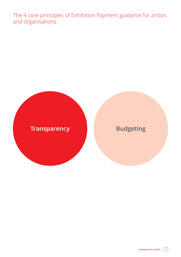The 4 core principles of Exhibition Payment guidance for artists and organisations

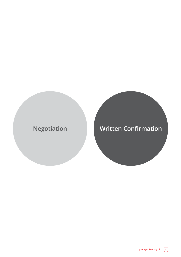# **Negotiation Written Confirmation**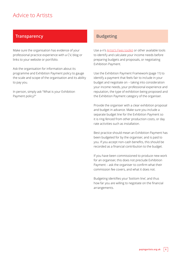# Advice to Artists

### **Transparency Budgeting**

Make sure the organisation has evidence of your professional practice experience with a CV, blog or links to your website or portfolio.

Ask the organisation for information about its programme and Exhibition Payment policy to gauge the scale and scope of the organisation and its ability to pay you.

In person, simply ask "What is your Exhibition Payment policy?"

Use a-n's [Artist's Fees toolkit](http://itool.co.uk/fees/#) or other available tools to identify and calculate your income needs before preparing budgets and proposals, or negotiating Exhibition Payment.

Use the Exhibition Payment Framework (page 11) to identify a payment that feels fair to include in your budget and negotiate on – taking into consideration your income needs, your professional experience and reputation, the type of exhibition being proposed and the Exhibition Payment category of the organiser.

Provide the organiser with a clear exhibition proposal and budget in advance. Make sure you include a separate budget line for the Exhibition Payment so it is ring-fenced from other production costs, or day rate activities such as installation.

Best practice should mean an Exhibition Payment has been budgeted for by the organiser, and is paid to you. If you accept non-cash benefits, this should be recorded as a financial contribution to the budget.

If you have been commissioned to produce new work for an organiser, this does not preclude Exhibition Payment – ask the organiser to confirm what their commission fee covers, and what it does not.

Budgeting identifies your 'bottom line', and thus how far you are willing to negotiate on the financial arrangements.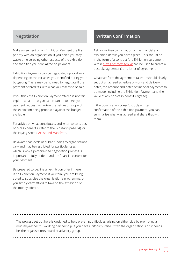Make agreement on an Exhibition Payment the first priority with an organisation. If you don't, you may waste time agreeing other aspects of the exhibition and then find you can't agree on payment.

Exhibition Payments can be negotiated up, or down, depending on the variables you identified during your budgeting. There may be no need to negotiate if the payment offered fits with what you assess to be fair.

If you think the Exhibition Payment offered is not fair, explore what the organisation can do to meet your payment request, or review the nature or scope of the exhibition being proposed against the budget available.

For advice on what constitutes, and when to consider, non-cash benefits, refer to the Glossary (page 14), or the Paying Artists' [Artist-Led Manifesto](http://www.payingartists.org.uk/project/artist-led-manifesto).

Be aware that levels of public funding to organisations vary and may be restricted for particular uses, which is why a personalised negotiation process is important to fully understand the financial context for your payment.

Be prepared to decline an exhibition offer if there is no Exhibition Payment, if you think you are being asked to subsidise the organisation's programme, or you simply can't afford to take on the exhibition on the money offered.

### **Negotiation Written Confirmation**

Ask for written confirmation of the financial and exhibition details you have agreed. This should be in the form of a contract (the Exhibition agreement within [a-n's Contracts toolkit](http://itool.co.uk/contracts/) can be used to create a bespoke agreement) or a letter of agreement.

Whatever form the agreement takes, it should clearly set out an agreed schedule of work and delivery dates, the amount and dates of financial payments to be made (including the Exhibition Payment and the value of any non-cash benefits agreed).

If the organisation doesn't supply written confirmation of the exhibition payment, you can summarise what was agreed and share that with them.

The process set out here is designed to help pre-empt difficulties arising on either side by promoting a mutually-respectful working partnership. If you have a difficulty, raise it with the organisation, and if needs be, the organisation's board or advisory group.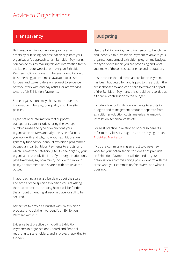# Advice to Organisations

### **Transparency Budgeting**

Be transparent in your working practices with artists by publishing policies that clearly state your organisation's approach to fair Exhibition Payments. You can do this by making relevant information freely available on your website, or having an Exhibition Payment policy in place. In whatever form, it should be something you can make available to artists, funders and stakeholders on request to evidence how you work with and pay artists, or are working towards fair Exhibition Payments.

Some organisations may choose to include this information in fair pay, or equality and diversity policies.

Organisational information that supports transparency can include sharing the average number, range and type of exhibitions your organisation delivers annually; the type of artists you work with and why; how your exhibitions are generally funded; your annual exhibition programme budget; annual Exhibition Payments to artists; and which Framework category (A to D – see page 12) your organisation broadly fits into. If your organisation only pays fixed fees, say how much, include this in your policy or statement, and share it with artists at the outset.

In approaching an artist, be clear about the scale and scope of the specific exhibition you are asking them to commit to, including how it will be funded, the amount of funding already in place, or still to be secured.

Ask artists to provide a budget with an exhibition proposal and ask them to identify an Exhibition Payment within it.

Evidence best practice by including Exhibition Payments in organisational, board and financial reporting to stakeholders, and in project reporting to funders.

Use the Exhibition Payment Framework to benchmark and identify a fair Exhibition Payment relative to your organisation's annual exhibition programme budget, the type of exhibition you are proposing and what you know of the artist's experience and reputation.

Best practice should mean an Exhibition Payment has been budgeted for, and is paid to the artist. If the artist chooses to (and can afford to) waive all or part of the Exhibition Payment, this should be recorded as a financial contribution to the budget.

Include a line for Exhibition Payments to artists in budgets and management accounts separate from exhibition production costs, materials, transport, installation, technical costs etc.

For best practice in relation to non-cash benefits, refer to the Glossary (page 14), or the Paying Artists' [Artist-Led Manifesto](http://www.payingartists.org.uk/project/artist-led-manifesto).

If you are commissioning an artist to create new work for your organisation, this does not preclude an Exhibition Payment – it will depend on your organisation's commissioning policy. Confirm with the artist what your commission fee covers, and what it does not.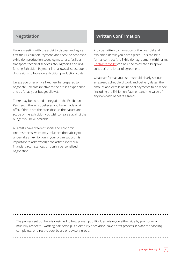Have a meeting with the artist to discuss and agree first their Exhibition Payment, and then the proposed exhibition production costs (eg materials, facilities, transport, technical services etc). Agreeing and ringfencing Exhibition Payment first allows all subsequent discussions to focus on exhibition production costs.

Unless you offer only a fixed fee, be prepared to negotiate upwards (relative to the artist's experience and as far as your budget allows).

There may be no need to negotiate the Exhibition Payment if the artist believes you have made a fair offer. If this is not the case, discuss the nature and scope of the exhibition you wish to realise against the budget you have available.

All artists have different social and economic circumstances which may influence their ability to undertake an exhibition in your organisation. It is important to acknowledge the artist's individual financial circumstances through a personalised negotiation.

### **Negotiation Written Confirmation**

Provide written confirmation of the financial and exhibition details you have agreed. This can be a formal contract (the Exhibition agreement within a-n's [Contracts toolkit](http://itool.co.uk/contracts/) can be used to create a bespoke contract) or a letter of agreement.

Whatever format you use, it should clearly set out an agreed schedule of work and delivery dates, the amount and details of financial payments to be made (including the Exhibition Payment and the value of any non-cash benefits agreed).

The process set out here is designed to help pre-empt difficulties arising on either side by promoting a mutually-respectful working partnership. If a difficulty does arise, have a staff process in place for handling complaints, or direct to your board or advisory group.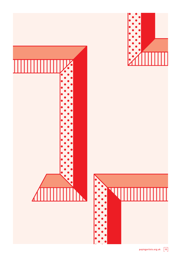



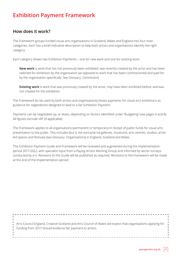# **Exhibition Payment Framework**

### **How does it work?**

The Framework groups funded visual arts organisations in Scotland, Wales and England into four main categories. Each has a brief indicative description to help both artists and organisations identify the right category.

Each category shows two Exhibition Payments – one for new work and one for existing work:

**New work** is work that has not previously been exhibited, was recently created by the artist and has been selected for exhibition by the organisation (as opposed to work that has been commissioned and paid for by the organisation specifically. See Glossary: *Commission*)

**Existing work** is work that was previously created by the artist, may have been exhibited before, and was not created for the exhibition.

The Framework (to be used by both artists and organisations) shows payments for visual arts exhibitions as guidance for negotiations designed to lead to a fair Exhibition Payment.

Payments can be negotiated up, or down, depending on factors identified under 'Budgeting' (see pages 6 and 8). All figures exclude VAT (if applicable).

The Framework applies to all organisations (permanent or temporary) in receipt of public funds for visual arts presentation to the public. This includes (but is not exclusive to) galleries, museums, arts centres, studios, artistled spaces and festivals (see Glossary: Organisations) in England, Scotland and Wales.

This Exhibition Payment Guide and Framework will be reviewed and augmented during the implementation period 2017-2022, with specialist input from a Paying Artists Working Group and informed by sector surveys conducted by a-n. Revisions to the Guide will be published as required. Revisions to the Framework will be made at the end of the implementation period.

Arts Council England, Creative Scotland and Arts Council of Wales will expect that organisations applying for funding from 2017 should evidence fair payment to artists.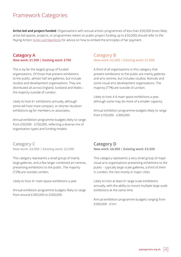# Framework Categories

**Artist-led and project-funded**: Organisations with annual artistic programmes of less than £50,000 (most likely artist-led spaces, projects, or programmes reliant on public project funding up to £50,000) should refer to the Paying Artists' [Artist-Led Manifesto](http://www.payingartists.org.uk/project/artist-led-manifesto) for advice on how to embed the principles of fair payment.

### **Category A New work: £1,500 | Existing work: £750**

This is by far the largest group of funded organisations. Of those that present exhibitions to the public, almost half are galleries, but include studios and development organisations. They are distributed all across England, Scotland and Wales – the majority outside of London.

Likely to host 6+ exhibitions annually, although some will host more compact, or shorter duration exhibitions eg for members or associates.

Annual exhibition programme budgets likely to range from £50,000 - £150,000, reflecting a diverse mix of organisation types and funding models.

# **Category B**

**New work: £2,000 | Existing work: £1,000**

A third of all organisations in this category that present exhibitions to the public are mainly galleries and arts centres, but includes studios, festivals and some visual arts development organisations. The majority (77%) are outside of London.

Likely to host 4-6 main space exhibitions a year, although some may do more of a smaller capacity.

Annual exhibition programme budgets likely to range from £150,000 - £300,000.

**Category C New work: £4,000 | Existing work: £2,000**

This category represents a small group of mainly large galleries, and a few larger combined art centres, presenting exhibitions to the public. The majority (72%) are outside London.

Likely to host 4+ main space exhibitions a year.

Annual exhibition programme budgets likely to range from around £300,000 to £500,000.

### **Category D**

**New work: £6,000 | Existing work: £3,500**

This category represents a very small group of major visual arts organisations presenting exhibitions to the public – typically large-scale galleries, a third of them in London, the rest mostly in major cities.

Likely to host at least 6+ large scale exhibitions annually, with the ability to mount multiple large scale exhibitions at the same time.

Annual exhibition programme budgets ranging from £500,000 - £1m+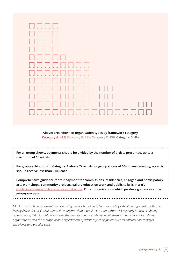

**Above: Breakdown of organisation types by framework category Category A: 48% Category B: 29% Category C: 15% Category D: 8%**

**For all group shows, payments should be divided by the number of artists presented, up to a maximum of 10 artists.** 

**For group exhibitions in Category A above 7+ artists, or group shows of 10+ in any category, no artist should receive less than £100 each.**

**Comprehensive guidance for fair payment for commissions, residencies, engaged and participatory arts workshops, community projects, gallery education work and public talks is in a-n's**  [Guidance on fees and day rates for visual artists](https://static.a-n.co.uk/wp-content/uploads/2015/11/Guidance_on_fees_and_day_rates_for_visual_artists_2016.pdf)**. Other organisations which produce guidance can be referred to** [here](http://www.payingartists.org.uk/project/other-sector-pay-guidance/)**.**

NOTE: *The Exhibition Payment Framework figures are based on (i) fees reported by exhibition organisations through Paying Artists Sector Consultations; (ii) anonymised data public sector data from 166 regularly funded exhibiting organisations; (iii) a formula comprising the average annual exhibiting requirements and turnover of exhibiting organisations, and the average income expectations of artists reflecting factors such as different career stages, experience and practice costs.*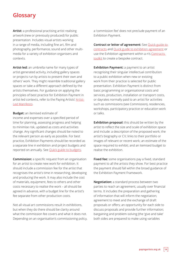# **Glossary**

**Artist:** a professional practising artist realising artwork (new or previously produced) for public presentation. Includes visual artists working in a range of media, including fine art, film and photography, performance, sound and other multimedia for a variety of exhibition organisers and contexts.

**Artist-led:** an umbrella name for many types of artist-generated activity, including gallery spaces or projects run by artists to present their own and others' work. They might resemble traditional gallery spaces or take a different approach defined by the artists themselves. For guidance on applying the principles of best practice for Exhibition Payment in artist-led contexts, refer to the Paying Artists' [Artist-](http://www.payingartists.org.uk/project/artist-led-manifesto)[Led Manifesto.](http://www.payingartists.org.uk/project/artist-led-manifesto)

### **Budget:** an itemised estimate of

income and expenses over a specified period of time for planning, assessing progress and helping to minimise risk, updated as costs and activities change. Any significant changes should be noted to the relevant person as early as possible. For best practice, Exhibition Payments should be recorded as a separate line in exhibition and project budgets and reported on annually. See [Quick guide to budgets](http://www.payingartists.org.uk/project/quick-guide-to-budgets/).

**Commission:** a specific request from an organisation for an artist to create new work for exhibition. It should include a commission fee for the artist that recognises the artist's time in researching, developing and producing the work. It may also include the cost of materials, equipment, fees to others and other costs necessary to realise the work – all should be agreed in advance, with a budget line for the artist's fee separate from other production costs.

Not all visual art commissions result in exhibitions, but when they do there should be clarity around what the commission fee covers and what it does not. Depending on an organisation's commissioning policy, a 'commission fee' does not preclude payment of an Exhibition Payment.

**Contract or letter of agreement:** See [Quick guide to](http://www.payingartists.org.uk/project/quick-guide-to-contracts/)  [contracts](http://www.payingartists.org.uk/project/quick-guide-to-contracts/) and [Quick guide to exhibition agreement](http://www.payingartists.org.uk/project/quick-guide-to-exhibition-agreement/) or use the Exhibition agreement within a-n's [Contracts](http://itool.co.uk/contracts/)  [toolkit](http://itool.co.uk/contracts/) to create a bespoke contract.

**Exhibition Payment:** a payment to an artist recognising their singular intellectual contribution to a public exhibition when new or existing work from their practice is selected for public presentation. Exhibition Payment is distinct from basic programming or organisational costs and services, production, installation or transport costs, or dayrates normally paid to an artist for activities such as commissions (see Commission), residencies, workshops, participatory practice or education work or talks.

**Exhibition proposal:** this should be written by the artist to reflect the size and scale of exhibition space and include: a description of the proposed work; the artist's biography or CV; links to their portfolio or images of relevant or recent work; an estimate of the space required to exhibit; and an itemised budget to realise the exhibition.

**Fixed fee:** some organisations pay a fixed, standard payment to all the artists they show. For best practice the payment should fall within the broad guidance of the Exhibition Payment Framework.

**Negotiation:** a standard process between two parties to reach an agreement, usually over financial terms. It includes the preparation and gathering of information that will inform the negotiation; agreement to meet and the exchange of draft proposals or offers; an opportunity for each side to discuss proposals and provide further information; bargaining and problem-solving (the 'give and take' both sides are prepared to make using variables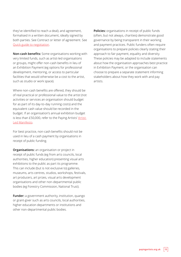they've identified to reach a deal); and agreement, formalised in a written document, ideally signed by both parties. See Contract or letter of agreement. See [Quick guide to negotiation](http://www.payingartists.org.uk/project/quick-guide-to-negotiation/).

**Non-cash benefits:** Some organisations working with very limited funds, such as artist-led organisations or groups, might offer non-cash benefits in lieu of an Exhibition Payment (eg options for professional development, mentoring, or access to particular facilities that would otherwise be a cost to the artist, such as studio or work space).

Where non-cash benefits are offered, they should be of real practical or professional value to the artist (not activities or services an organisation should budget for as part of its day-to-day running costs) and the equivalent cash value should be recorded in the budget. If an organisation's annual exhibition budget is less than £50,000, refer to the Paying Artists' [Artist-](http://www.payingartists.org.uk/project/artist-led-manifesto)[Led Manifesto.](http://www.payingartists.org.uk/project/artist-led-manifesto)

For best practice, non-cash benefits should not be used in lieu of a cash payment by organisations in receipt of public funding.

**Organisations:** an organisation or project in receipt of public funds (eg from arts councils, local authorities, higher education) presenting visual arts exhibitions to the public as part its programme. This can include (but is not exclusive to) galleries, museums, arts centres, studios, workshops, festivals, art producers, art prizes, visual arts development organisations and other non-departmental public bodies (eg Forestry Commission, National Trust).

**Funder:** a government authority, institution, quango or grant-giver such as arts councils, local authorities, higher education departments or institutions and other non-departmental public bodies.

**Policies:** organisations in receipt of public funds (often, but not always, charities) demonstrate good governance by being transparent in their working and payment practices. Public funders often require organisations to prepare policies clearly stating their approach to fair payment, equality and diversity. These policies may be adapted to include statements about how the organisation approaches best practice in Exhibition Payment, or the organisation can choose to prepare a separate statement informing stakeholders about how they work with and pay artists.